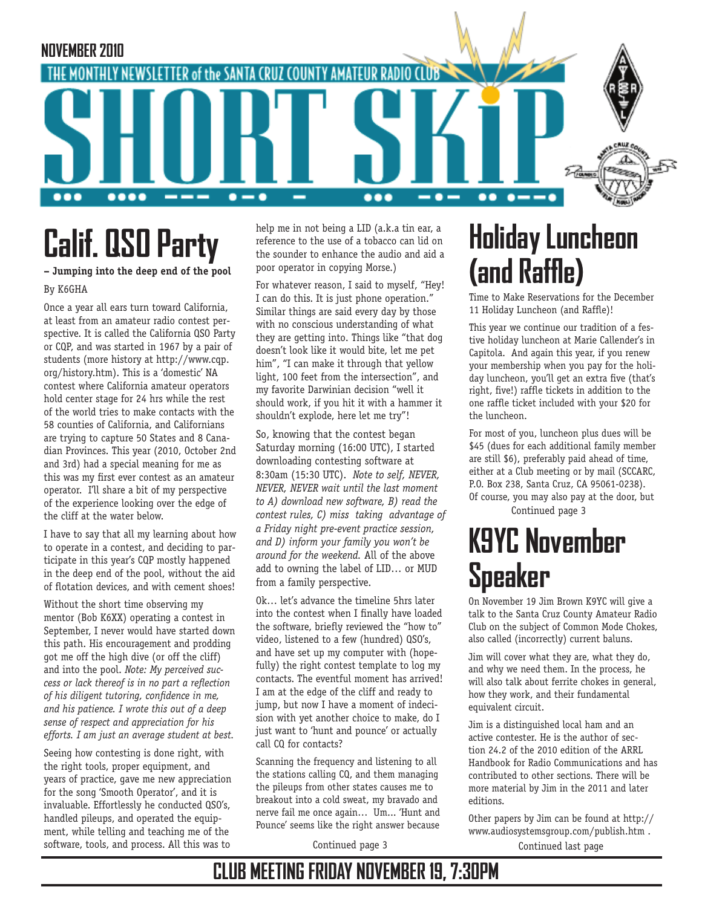

# **Calif. QSO Party**

#### **– Jumping into the deep end of the pool** By K6GHA

Once a year all ears turn toward California, at least from an amateur radio contest perspective. It is called the California QSO Party or CQP, and was started in 1967 by a pair of students (more history at http://www.cqp. org/history.htm). This is a 'domestic' NA contest where California amateur operators hold center stage for 24 hrs while the rest of the world tries to make contacts with the 58 counties of California, and Californians are trying to capture 50 States and 8 Canadian Provinces. This year (2010, October 2nd and 3rd) had a special meaning for me as this was my first ever contest as an amateur operator. I'll share a bit of my perspective of the experience looking over the edge of the cliff at the water below.

I have to say that all my learning about how to operate in a contest, and deciding to participate in this year's CQP mostly happened in the deep end of the pool, without the aid of flotation devices, and with cement shoes!

Without the short time observing my mentor (Bob K6XX) operating a contest in September, I never would have started down this path. His encouragement and prodding got me off the high dive (or off the cliff) and into the pool. *Note: My perceived success or lack thereof is in no part a reflection of his diligent tutoring, confidence in me, and his patience. I wrote this out of a deep sense of respect and appreciation for his efforts. I am just an average student at best.* 

Seeing how contesting is done right, with the right tools, proper equipment, and years of practice, gave me new appreciation for the song 'Smooth Operator', and it is invaluable. Effortlessly he conducted QSO's, handled pileups, and operated the equipment, while telling and teaching me of the software, tools, and process. All this was to

help me in not being a LID (a.k.a tin ear, a reference to the use of a tobacco can lid on the sounder to enhance the audio and aid a poor operator in copying Morse.)

For whatever reason, I said to myself, "Hey! I can do this. It is just phone operation." Similar things are said every day by those with no conscious understanding of what they are getting into. Things like "that dog doesn't look like it would bite, let me pet him", "I can make it through that yellow light, 100 feet from the intersection", and my favorite Darwinian decision "well it should work, if you hit it with a hammer it shouldn't explode, here let me try"!

So, knowing that the contest began Saturday morning (16:00 UTC), I started downloading contesting software at 8:30am (15:30 UTC). *Note to self, NEVER, NEVER, NEVER wait until the last moment to A) download new software, B) read the contest rules, C) miss taking advantage of a Friday night pre-event practice session, and D) inform your family you won't be around for the weekend.* All of the above add to owning the label of LID… or MUD from a family perspective.

Ok… let's advance the timeline 5hrs later into the contest when I finally have loaded the software, briefly reviewed the "how to" video, listened to a few (hundred) QSO's, and have set up my computer with (hopefully) the right contest template to log my contacts. The eventful moment has arrived! I am at the edge of the cliff and ready to jump, but now I have a moment of indecision with yet another choice to make, do I just want to 'hunt and pounce' or actually call CQ for contacts?

Scanning the frequency and listening to all the stations calling CQ, and them managing the pileups from other states causes me to breakout into a cold sweat, my bravado and nerve fail me once again… Um... 'Hunt and Pounce' seems like the right answer because

# **Holiday Luncheon (and Raffle)**

Time to Make Reservations for the December 11 Holiday Luncheon (and Raffle)!

This year we continue our tradition of a festive holiday luncheon at Marie Callender's in Capitola. And again this year, if you renew your membership when you pay for the holiday luncheon, you'll get an extra five (that's right, five!) raffle tickets in addition to the one raffle ticket included with your \$20 for the luncheon.

Continued page 3 For most of you, luncheon plus dues will be \$45 (dues for each additional family member are still \$6), preferably paid ahead of time, either at a Club meeting or by mail (SCCARC, P.O. Box 238, Santa Cruz, CA 95061-0238). Of course, you may also pay at the door, but

# **K9YC November Speaker**

On November 19 Jim Brown K9YC will give a talk to the Santa Cruz County Amateur Radio Club on the subject of Common Mode Chokes, also called (incorrectly) current baluns.

Jim will cover what they are, what they do, and why we need them. In the process, he will also talk about ferrite chokes in general, how they work, and their fundamental equivalent circuit.

Jim is a distinguished local ham and an active contester. He is the author of section 24.2 of the 2010 edition of the ARRL Handbook for Radio Communications and has contributed to other sections. There will be more material by Jim in the 2011 and later editions.

Continued page 3 Continued last page Other papers by Jim can be found at http:// www.audiosystemsgroup.com/publish.htm .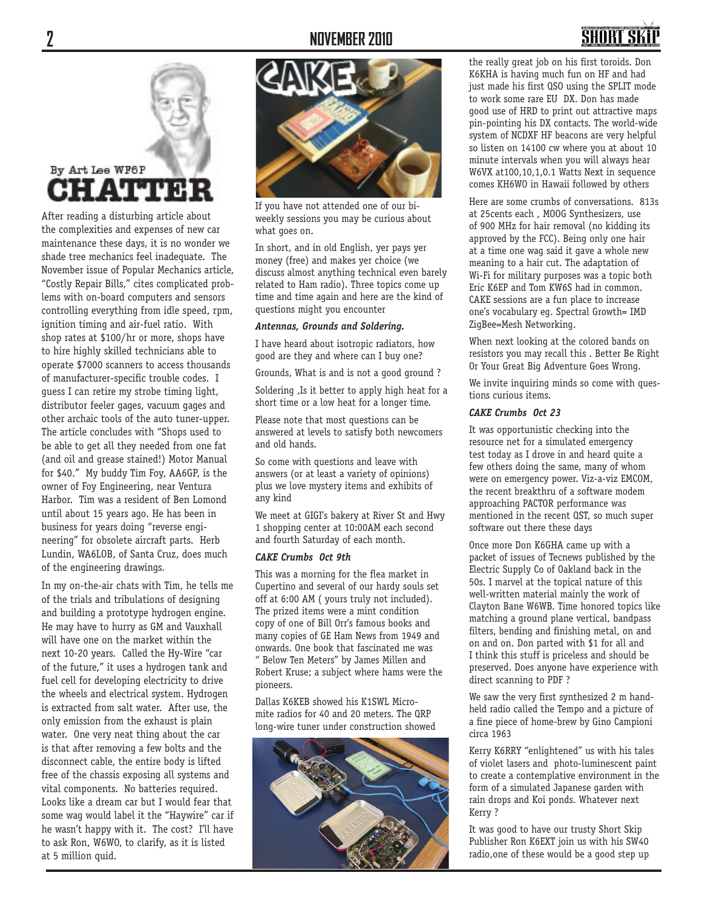#### **2 NOVEMBER 2010**

## SHNRT S

## By Art Lee WF6P HATTE

After reading a disturbing article about the complexities and expenses of new car maintenance these days, it is no wonder we shade tree mechanics feel inadequate. The November issue of Popular Mechanics article, "Costly Repair Bills," cites complicated problems with on-board computers and sensors controlling everything from idle speed, rpm, ignition timing and air-fuel ratio. With shop rates at \$100/hr or more, shops have to hire highly skilled technicians able to operate \$7000 scanners to access thousands of manufacturer-specific trouble codes. I guess I can retire my strobe timing light, distributor feeler gages, vacuum gages and other archaic tools of the auto tuner-upper. The article concludes with "Shops used to be able to get all they needed from one fat (and oil and grease stained!) Motor Manual for \$40." My buddy Tim Foy, AA6GP, is the owner of Foy Engineering, near Ventura Harbor. Tim was a resident of Ben Lomond until about 15 years ago. He has been in business for years doing "reverse engineering" for obsolete aircraft parts. Herb Lundin, WA6LOB, of Santa Cruz, does much of the engineering drawings.

In my on-the-air chats with Tim, he tells me of the trials and tribulations of designing and building a prototype hydrogen engine. He may have to hurry as GM and Vauxhall will have one on the market within the next 10-20 years. Called the Hy-Wire "car of the future," it uses a hydrogen tank and fuel cell for developing electricity to drive the wheels and electrical system. Hydrogen is extracted from salt water. After use, the only emission from the exhaust is plain water. One very neat thing about the car is that after removing a few bolts and the disconnect cable, the entire body is lifted free of the chassis exposing all systems and vital components. No batteries required. Looks like a dream car but I would fear that some wag would label it the "Haywire" car if he wasn't happy with it. The cost? I'll have to ask Ron, W6WO, to clarify, as it is listed at 5 million quid.



If you have not attended one of our biweekly sessions you may be curious about what goes on.

In short, and in old English, yer pays yer money (free) and makes yer choice (we discuss almost anything technical even barely related to Ham radio). Three topics come up time and time again and here are the kind of questions might you encounter

#### *Antennas, Grounds and Soldering.*

I have heard about isotropic radiators, how good are they and where can I buy one?

Grounds, What is and is not a good ground ?

Soldering ,Is it better to apply high heat for a short time or a low heat for a longer time.

Please note that most questions can be answered at levels to satisfy both newcomers and old hands.

So come with questions and leave with answers (or at least a variety of opinions) plus we love mystery items and exhibits of any kind

We meet at GIGI's bakery at River St and Hwy 1 shopping center at 10:00AM each second and fourth Saturday of each month.

#### *CAKE Crumbs Oct 9th*

This was a morning for the flea market in Cupertino and several of our hardy souls set off at 6:00 AM ( yours truly not included). The prized items were a mint condition copy of one of Bill Orr's famous books and many copies of GE Ham News from 1949 and onwards. One book that fascinated me was " Below Ten Meters" by James Millen and Robert Kruse; a subject where hams were the pioneers.

Dallas K6KEB showed his K1SWL Micromite radios for 40 and 20 meters. The QRP long-wire tuner under construction showed



the really great job on his first toroids. Don K6KHA is having much fun on HF and had just made his first QSO using the SPLIT mode to work some rare EU DX. Don has made good use of HRD to print out attractive maps pin-pointing his DX contacts. The world-wide system of NCDXF HF beacons are very helpful so listen on 14100 cw where you at about 10 minute intervals when you will always hear W6VX at100,10,1,0.1 Watts Next in sequence comes KH6WO in Hawaii followed by others

Here are some crumbs of conversations. 813s at 25cents each , MOOG Synthesizers, use of 900 MHz for hair removal (no kidding its approved by the FCC). Being only one hair at a time one wag said it gave a whole new meaning to a hair cut. The adaptation of Wi-Fi for military purposes was a topic both Eric K6EP and Tom KW6S had in common. CAKE sessions are a fun place to increase one's vocabulary eg. Spectral Growth= IMD ZigBee=Mesh Networking.

When next looking at the colored bands on resistors you may recall this . Better Be Right Or Your Great Big Adventure Goes Wrong.

We invite inquiring minds so come with questions curious items.

#### *CAKE Crumbs Oct 23*

It was opportunistic checking into the resource net for a simulated emergency test today as I drove in and heard quite a few others doing the same, many of whom were on emergency power. Viz-a-viz EMCOM, the recent breakthru of a software modem approaching PACTOR performance was mentioned in the recent QST, so much super software out there these days

Once more Don K6GHA came up with a packet of issues of Tecnews published by the Electric Supply Co of Oakland back in the 50s. I marvel at the topical nature of this well-written material mainly the work of Clayton Bane W6WB. Time honored topics like matching a ground plane vertical, bandpass filters, bending and finishing metal, on and on and on. Don parted with \$1 for all and I think this stuff is priceless and should be preserved. Does anyone have experience with direct scanning to PDF ?

We saw the very first synthesized 2 m handheld radio called the Tempo and a picture of a fine piece of home-brew by Gino Campioni circa 1963

Kerry K6RRY "enlightened" us with his tales of violet lasers and photo-luminescent paint to create a contemplative environment in the form of a simulated Japanese garden with rain drops and Koi ponds. Whatever next Kerry ?

It was good to have our trusty Short Skip Publisher Ron K6EXT join us with his SW40 radio,one of these would be a good step up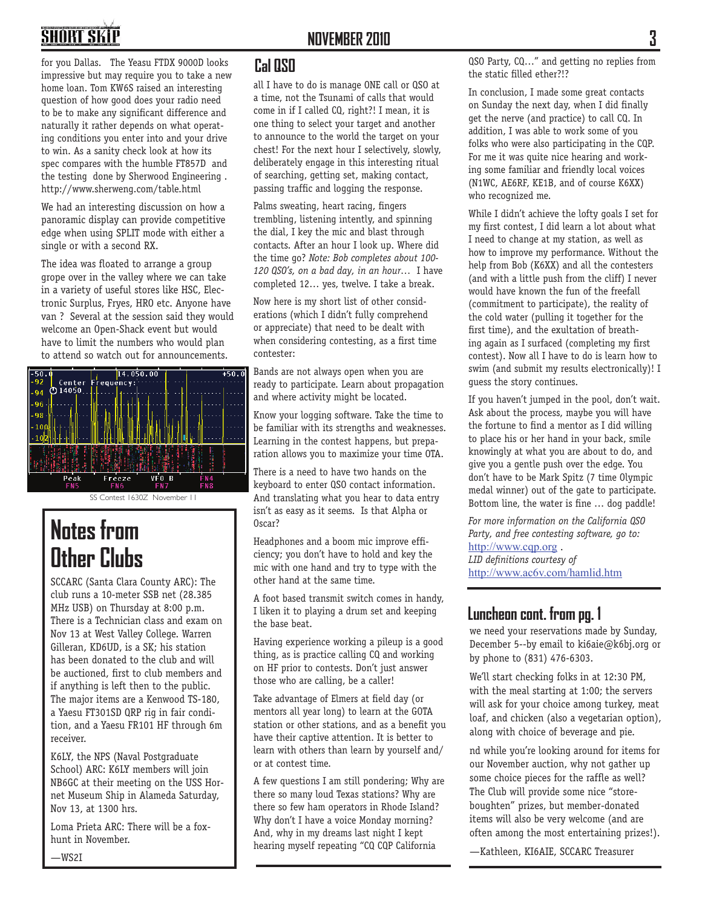#### **NOVEMBER 2010**

# **SHORT SKI**

for you Dallas. The Yeasu FTDX 9000D looks impressive but may require you to take a new home loan. Tom KW6S raised an interesting question of how good does your radio need to be to make any significant difference and naturally it rather depends on what operating conditions you enter into and your drive to win. As a sanity check look at how its spec compares with the humble FT857D and the testing done by Sherwood Engineering . http://www.sherweng.com/table.html

We had an interesting discussion on how a panoramic display can provide competitive edge when using SPLIT mode with either a single or with a second RX.

The idea was floated to arrange a group grope over in the valley where we can take in a variety of useful stores like HSC, Electronic Surplus, Fryes, HRO etc. Anyone have van ? Several at the session said they would welcome an Open-Shack event but would have to limit the numbers who would plan to attend so watch out for announcements.



## **Notes from Other Clubs**

SCCARC (Santa Clara County ARC): The club runs a 10-meter SSB net (28.385 MHz USB) on Thursday at 8:00 p.m. There is a Technician class and exam on Nov 13 at West Valley College. Warren Gilleran, KD6UD, is a SK; his station has been donated to the club and will be auctioned, first to club members and if anything is left then to the public. The major items are a Kenwood TS-180, a Yaesu FT301SD QRP rig in fair condition, and a Yaesu FR101 HF through 6m receiver.

K6LY, the NPS (Naval Postgraduate School) ARC: K6LY members will join NB6GC at their meeting on the USS Hornet Museum Ship in Alameda Saturday, Nov 13, at 1300 hrs.

Loma Prieta ARC: There will be a foxhunt in November.

#### **Cal QSO**

all I have to do is manage ONE call or QSO at a time, not the Tsunami of calls that would come in if I called CQ, right?! I mean, it is one thing to select your target and another to announce to the world the target on your chest! For the next hour I selectively, slowly, deliberately engage in this interesting ritual of searching, getting set, making contact, passing traffic and logging the response.

Palms sweating, heart racing, fingers trembling, listening intently, and spinning the dial, I key the mic and blast through contacts. After an hour I look up. Where did the time go? *Note: Bob completes about 100- 120 QSO's, on a bad day, in an hour…* I have completed 12… yes, twelve. I take a break.

Now here is my short list of other considerations (which I didn't fully comprehend or appreciate) that need to be dealt with when considering contesting, as a first time contester:

Bands are not always open when you are ready to participate. Learn about propagation and where activity might be located.

Know your logging software. Take the time to be familiar with its strengths and weaknesses. Learning in the contest happens, but preparation allows you to maximize your time OTA.

There is a need to have two hands on the keyboard to enter QSO contact information. And translating what you hear to data entry isn't as easy as it seems. Is that Alpha or Oscar?

Headphones and a boom mic improve efficiency; you don't have to hold and key the mic with one hand and try to type with the other hand at the same time.

A foot based transmit switch comes in handy, I liken it to playing a drum set and keeping the base beat.

Having experience working a pileup is a good thing, as is practice calling CQ and working on HF prior to contests. Don't just answer those who are calling, be a caller!

Take advantage of Elmers at field day (or mentors all year long) to learn at the GOTA station or other stations, and as a benefit you have their captive attention. It is better to learn with others than learn by yourself and/ or at contest time.

A few questions I am still pondering; Why are there so many loud Texas stations? Why are there so few ham operators in Rhode Island? Why don't I have a voice Monday morning? And, why in my dreams last night I kept hearing myself repeating "CQ CQP California

QSO Party, CQ…" and getting no replies from the static filled ether?!?

In conclusion, I made some great contacts on Sunday the next day, when I did finally get the nerve (and practice) to call CQ. In addition, I was able to work some of you folks who were also participating in the CQP. For me it was quite nice hearing and working some familiar and friendly local voices (N1WC, AE6RF, KE1B, and of course K6XX) who recognized me.

While I didn't achieve the lofty goals I set for my first contest, I did learn a lot about what I need to change at my station, as well as how to improve my performance. Without the help from Bob (K6XX) and all the contesters (and with a little push from the cliff) I never would have known the fun of the freefall (commitment to participate), the reality of the cold water (pulling it together for the first time), and the exultation of breathing again as I surfaced (completing my first contest). Now all I have to do is learn how to swim (and submit my results electronically)! I guess the story continues.

If you haven't jumped in the pool, don't wait. Ask about the process, maybe you will have the fortune to find a mentor as I did willing to place his or her hand in your back, smile knowingly at what you are about to do, and give you a gentle push over the edge. You don't have to be Mark Spitz (7 time Olympic medal winner) out of the gate to participate. Bottom line, the water is fine … dog paddle!

*For more information on the California QSO Party, and free contesting software, go to:*  http://www.cqp.org . *LID definitions courtesy of* http://www.ac6v.com/hamlid.htm

#### **Luncheon cont. from pg. 1**

we need your reservations made by Sunday, December 5--by email to ki6aie@k6bj.org or by phone to (831) 476-6303.

We'll start checking folks in at 12:30 PM, with the meal starting at 1:00; the servers will ask for your choice among turkey, meat loaf, and chicken (also a vegetarian option), along with choice of beverage and pie.

nd while you're looking around for items for our November auction, why not gather up some choice pieces for the raffle as well? The Club will provide some nice "storeboughten" prizes, but member-donated items will also be very welcome (and are often among the most entertaining prizes!).

—Kathleen, KI6AIE, SCCARC Treasurer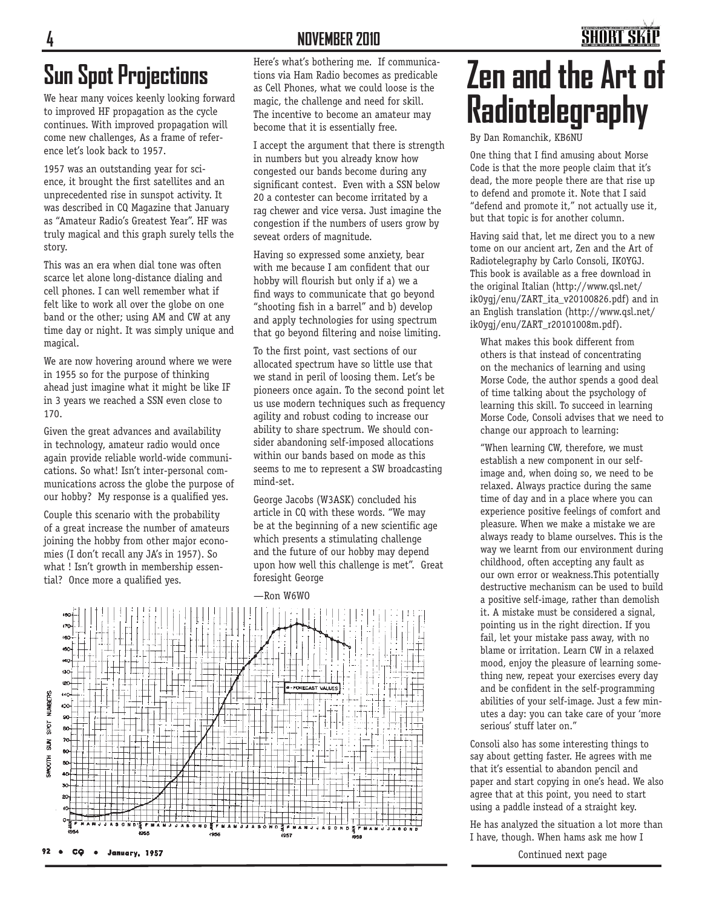#### **NOVEMBER 2010**

## **Sun Spot Projections**

We hear many voices keenly looking forward to improved HF propagation as the cycle continues. With improved propagation will come new challenges, As a frame of reference let's look back to 1957.

1957 was an outstanding year for science, it brought the first satellites and an unprecedented rise in sunspot activity. It was described in CQ Magazine that January as "Amateur Radio's Greatest Year". HF was truly magical and this graph surely tells the story.

This was an era when dial tone was often scarce let alone long-distance dialing and cell phones. I can well remember what if felt like to work all over the globe on one band or the other; using AM and CW at any time day or night. It was simply unique and magical.

We are now hovering around where we were in 1955 so for the purpose of thinking ahead just imagine what it might be like IF in 3 years we reached a SSN even close to 170.

Given the great advances and availability in technology, amateur radio would once again provide reliable world-wide communications. So what! Isn't inter-personal communications across the globe the purpose of our hobby? My response is a qualified yes.

Couple this scenario with the probability of a great increase the number of amateurs joining the hobby from other major economies (I don't recall any JA's in 1957). So what ! Isn't growth in membership essential? Once more a qualified yes.

Here's what's bothering me. If communications via Ham Radio becomes as predicable as Cell Phones, what we could loose is the magic, the challenge and need for skill. The incentive to become an amateur may become that it is essentially free.

I accept the argument that there is strength in numbers but you already know how congested our bands become during any significant contest. Even with a SSN below 20 a contester can become irritated by a rag chewer and vice versa. Just imagine the congestion if the numbers of users grow by seveat orders of magnitude.

Having so expressed some anxiety, bear with me because I am confident that our hobby will flourish but only if a) we a find ways to communicate that go beyond "shooting fish in a barrel" and b) develop and apply technologies for using spectrum that go beyond filtering and noise limiting.

To the first point, vast sections of our allocated spectrum have so little use that we stand in peril of loosing them. Let's be pioneers once again. To the second point let us use modern techniques such as frequency agility and robust coding to increase our ability to share spectrum. We should consider abandoning self-imposed allocations within our bands based on mode as this seems to me to represent a SW broadcasting mind-set.

George Jacobs (W3ASK) concluded his article in CQ with these words. "We may be at the beginning of a new scientific age which presents a stimulating challenge and the future of our hobby may depend upon how well this challenge is met". Great foresight George

—Ron W6WO



# **Zen and the Art of Radiotelegraphy**

**SHORT SI** 

By Dan Romanchik, KB6NU

One thing that I find amusing about Morse Code is that the more people claim that it's dead, the more people there are that rise up to defend and promote it. Note that I said "defend and promote it," not actually use it, but that topic is for another column.

Having said that, let me direct you to a new tome on our ancient art, Zen and the Art of Radiotelegraphy by Carlo Consoli, IK0YGJ. This book is available as a free download in the original Italian (http://www.qsl.net/ ik0ygj/enu/ZART\_ita\_v20100826.pdf) and in an English translation (http://www.qsl.net/ ik0ygj/enu/ZART\_r20101008m.pdf).

What makes this book different from others is that instead of concentrating on the mechanics of learning and using Morse Code, the author spends a good deal of time talking about the psychology of learning this skill. To succeed in learning Morse Code, Consoli advises that we need to change our approach to learning:

"When learning CW, therefore, we must establish a new component in our selfimage and, when doing so, we need to be relaxed. Always practice during the same time of day and in a place where you can experience positive feelings of comfort and pleasure. When we make a mistake we are always ready to blame ourselves. This is the way we learnt from our environment during childhood, often accepting any fault as our own error or weakness.This potentially destructive mechanism can be used to build a positive self-image, rather than demolish it. A mistake must be considered a signal, pointing us in the right direction. If you fail, let your mistake pass away, with no blame or irritation. Learn CW in a relaxed mood, enjoy the pleasure of learning something new, repeat your exercises every day and be confident in the self-programming abilities of your self-image. Just a few minutes a day: you can take care of your 'more serious' stuff later on."

Consoli also has some interesting things to say about getting faster. He agrees with me that it's essential to abandon pencil and paper and start copying in one's head. We also agree that at this point, you need to start using a paddle instead of a straight key.

He has analyzed the situation a lot more than I have, though. When hams ask me how I

Continued next page